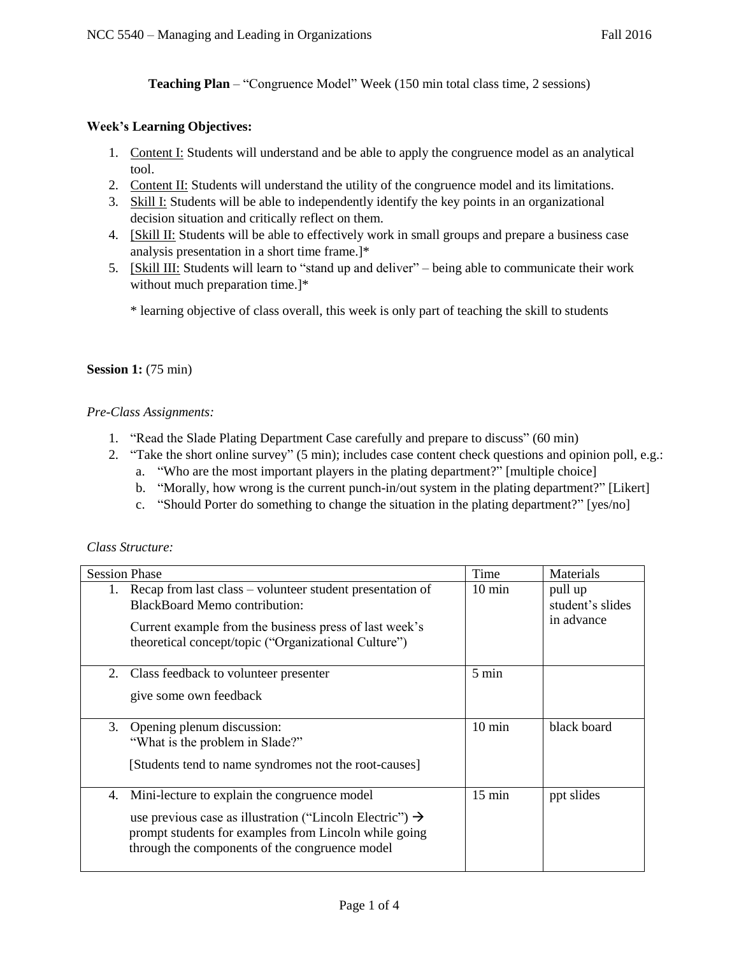**Teaching Plan** – "Congruence Model" Week (150 min total class time, 2 sessions)

#### **Week's Learning Objectives:**

- 1. Content I: Students will understand and be able to apply the congruence model as an analytical tool.
- 2. Content II: Students will understand the utility of the congruence model and its limitations.
- 3. Skill I: Students will be able to independently identify the key points in an organizational decision situation and critically reflect on them.
- 4. [Skill II: Students will be able to effectively work in small groups and prepare a business case analysis presentation in a short time frame.]\*
- 5. [Skill III: Students will learn to "stand up and deliver" being able to communicate their work without much preparation time.]\*

\* learning objective of class overall, this week is only part of teaching the skill to students

#### **Session 1:** (75 min)

### *Pre-Class Assignments:*

- 1. "Read the Slade Plating Department Case carefully and prepare to discuss" (60 min)
- 2. "Take the short online survey" (5 min); includes case content check questions and opinion poll, e.g.:
	- a. "Who are the most important players in the plating department?" [multiple choice]
	- b. "Morally, how wrong is the current punch-in/out system in the plating department?" [Likert]
	- c. "Should Porter do something to change the situation in the plating department?" [yes/no]

#### *Class Structure:*

|    | <b>Session Phase</b>                                                 | Time             | Materials        |
|----|----------------------------------------------------------------------|------------------|------------------|
| 1. | Recap from last class – volunteer student presentation of            | $10 \text{ min}$ | pull up          |
|    | <b>BlackBoard Memo contribution:</b>                                 |                  | student's slides |
|    | Current example from the business press of last week's               |                  | in advance       |
|    | theoretical concept/topic ("Organizational Culture")                 |                  |                  |
| 2. |                                                                      | 5 min            |                  |
|    | Class feedback to volunteer presenter                                |                  |                  |
|    | give some own feedback                                               |                  |                  |
|    |                                                                      |                  |                  |
| 3. | Opening plenum discussion:<br>"What is the problem in Slade?"        | $10 \text{ min}$ | black board      |
|    |                                                                      |                  |                  |
|    | [Students tend to name syndromes not the root-causes]                |                  |                  |
|    |                                                                      |                  |                  |
| 4. | Mini-lecture to explain the congruence model                         | $15 \text{ min}$ | ppt slides       |
|    | use previous case as illustration ("Lincoln Electric") $\rightarrow$ |                  |                  |
|    | prompt students for examples from Lincoln while going                |                  |                  |
|    | through the components of the congruence model                       |                  |                  |
|    |                                                                      |                  |                  |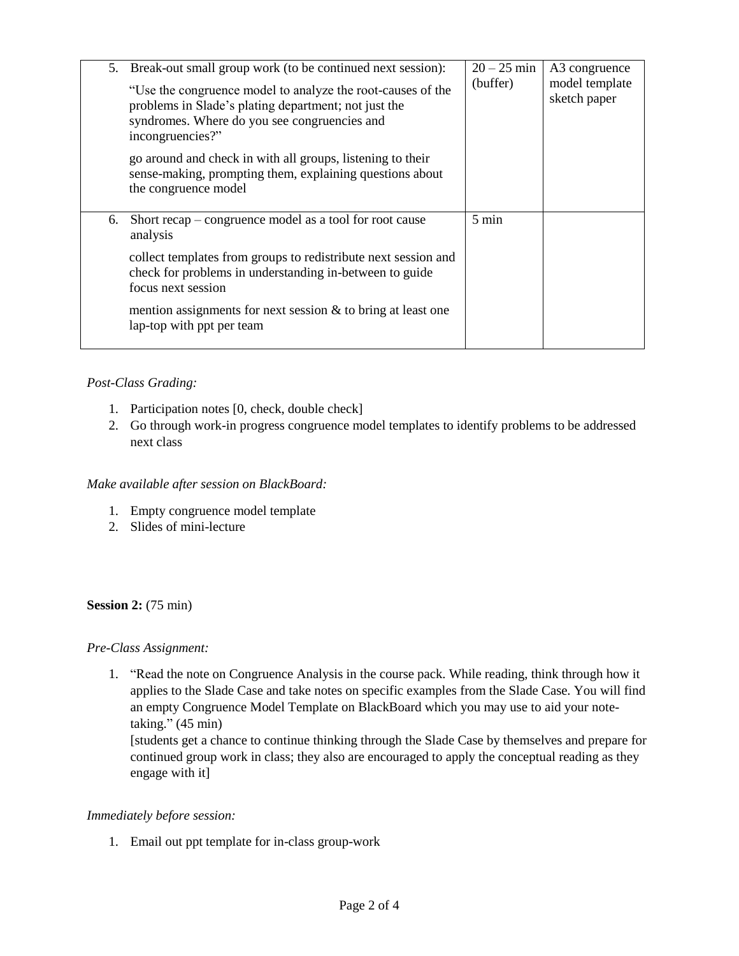|    | 5. Break-out small group work (to be continued next session):<br>"Use the congruence model to analyze the root-causes of the<br>problems in Slade's plating department; not just the<br>syndromes. Where do you see congruencies and<br>incongruencies?"<br>go around and check in with all groups, listening to their<br>sense-making, prompting them, explaining questions about<br>the congruence model | $20 - 25$ min<br>(buffer) | A3 congruence<br>model template<br>sketch paper |
|----|------------------------------------------------------------------------------------------------------------------------------------------------------------------------------------------------------------------------------------------------------------------------------------------------------------------------------------------------------------------------------------------------------------|---------------------------|-------------------------------------------------|
| 6. | Short recap – congruence model as a tool for root cause<br>analysis                                                                                                                                                                                                                                                                                                                                        | 5 min                     |                                                 |
|    | collect templates from groups to redistribute next session and<br>check for problems in understanding in-between to guide<br>focus next session                                                                                                                                                                                                                                                            |                           |                                                 |
|    | mention assignments for next session $\&$ to bring at least one<br>lap-top with ppt per team                                                                                                                                                                                                                                                                                                               |                           |                                                 |

# *Post-Class Grading:*

- 1. Participation notes [0, check, double check]
- 2. Go through work-in progress congruence model templates to identify problems to be addressed next class

## *Make available after session on BlackBoard:*

- 1. Empty congruence model template
- 2. Slides of mini-lecture

#### **Session 2:** (75 min)

#### *Pre-Class Assignment:*

1. "Read the note on Congruence Analysis in the course pack. While reading, think through how it applies to the Slade Case and take notes on specific examples from the Slade Case. You will find an empty Congruence Model Template on BlackBoard which you may use to aid your notetaking." (45 min)

[students get a chance to continue thinking through the Slade Case by themselves and prepare for continued group work in class; they also are encouraged to apply the conceptual reading as they engage with it]

#### *Immediately before session:*

1. Email out ppt template for in-class group-work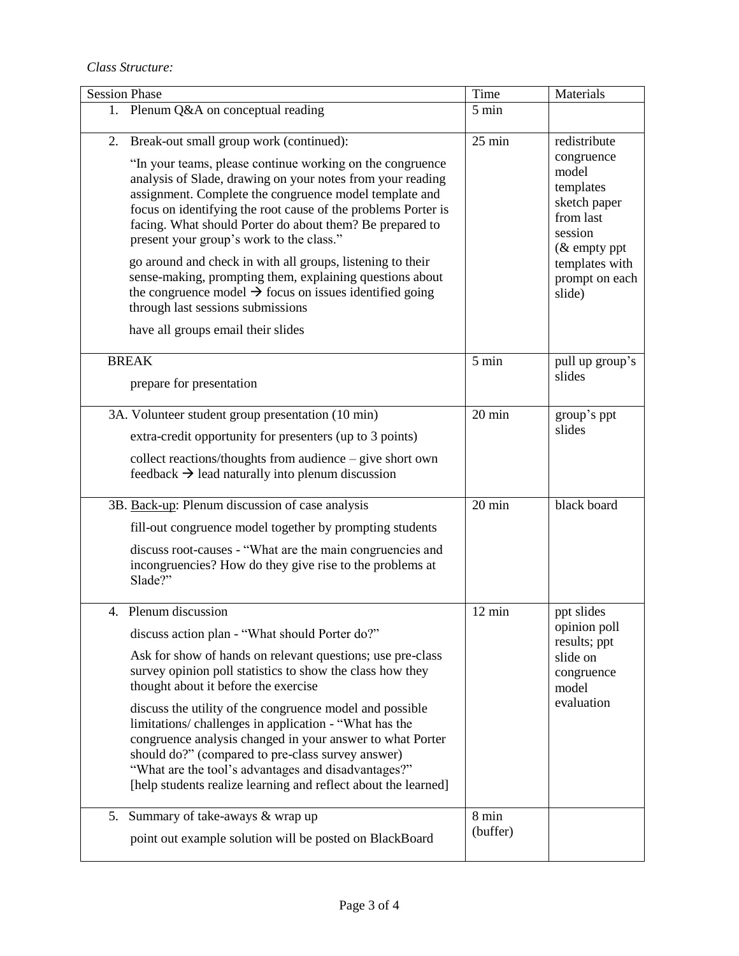*Class Structure:* 

| <b>Session Phase</b>                                                                                                                                                                                                                                                                                                                                                                                                                                                                                                                                                                                                                                                                    | Time              | Materials                                                                                                                                               |
|-----------------------------------------------------------------------------------------------------------------------------------------------------------------------------------------------------------------------------------------------------------------------------------------------------------------------------------------------------------------------------------------------------------------------------------------------------------------------------------------------------------------------------------------------------------------------------------------------------------------------------------------------------------------------------------------|-------------------|---------------------------------------------------------------------------------------------------------------------------------------------------------|
| 1. Plenum Q&A on conceptual reading                                                                                                                                                                                                                                                                                                                                                                                                                                                                                                                                                                                                                                                     | 5 min             |                                                                                                                                                         |
| Break-out small group work (continued):<br>2.<br>"In your teams, please continue working on the congruence<br>analysis of Slade, drawing on your notes from your reading<br>assignment. Complete the congruence model template and<br>focus on identifying the root cause of the problems Porter is<br>facing. What should Porter do about them? Be prepared to<br>present your group's work to the class."<br>go around and check in with all groups, listening to their<br>sense-making, prompting them, explaining questions about<br>the congruence model $\rightarrow$ focus on issues identified going<br>through last sessions submissions<br>have all groups email their slides | $25$ min          | redistribute<br>congruence<br>model<br>templates<br>sketch paper<br>from last<br>session<br>$&$ empty ppt<br>templates with<br>prompt on each<br>slide) |
| <b>BREAK</b><br>prepare for presentation                                                                                                                                                                                                                                                                                                                                                                                                                                                                                                                                                                                                                                                | 5 min             | pull up group's<br>slides                                                                                                                               |
| 3A. Volunteer student group presentation (10 min)<br>extra-credit opportunity for presenters (up to 3 points)<br>collect reactions/thoughts from audience – give short own<br>feedback $\rightarrow$ lead naturally into plenum discussion                                                                                                                                                                                                                                                                                                                                                                                                                                              | $20 \text{ min}$  | group's ppt<br>slides                                                                                                                                   |
| 3B. Back-up: Plenum discussion of case analysis<br>fill-out congruence model together by prompting students<br>discuss root-causes - "What are the main congruencies and<br>incongruencies? How do they give rise to the problems at<br>Slade?"                                                                                                                                                                                                                                                                                                                                                                                                                                         | $20 \text{ min}$  | black board                                                                                                                                             |
| 4. Plenum discussion<br>discuss action plan - "What should Porter do?"<br>Ask for show of hands on relevant questions; use pre-class<br>survey opinion poll statistics to show the class how they<br>thought about it before the exercise<br>discuss the utility of the congruence model and possible<br>limitations/challenges in application - "What has the<br>congruence analysis changed in your answer to what Porter<br>should do?" (compared to pre-class survey answer)<br>"What are the tool's advantages and disadvantages?"<br>[help students realize learning and reflect about the learned]                                                                               | $12 \text{ min}$  | ppt slides<br>opinion poll<br>results; ppt<br>slide on<br>congruence<br>model<br>evaluation                                                             |
| 5. Summary of take-aways & wrap up<br>point out example solution will be posted on BlackBoard                                                                                                                                                                                                                                                                                                                                                                                                                                                                                                                                                                                           | 8 min<br>(buffer) |                                                                                                                                                         |